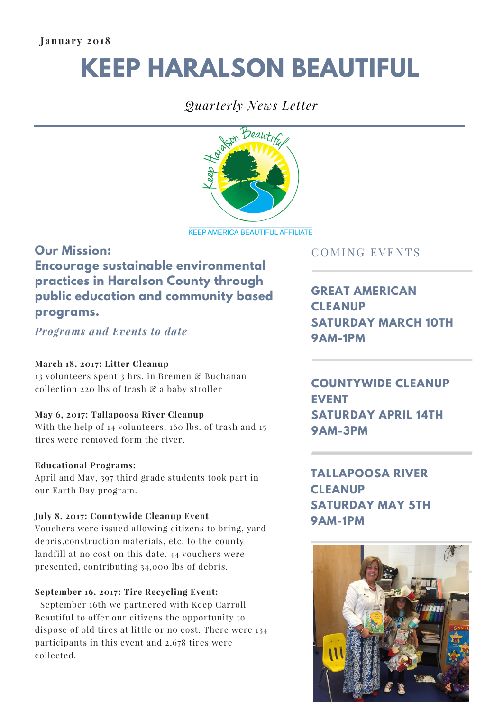# **KEEP HARALSON BEAUTIFUL**

## *Quarterly News Letter*



**KEEP AMERICA BEAUTIFUL AFFILIATE** 

## **Our Mission: Encourage sustainable environmental practices in Haralson County through public education and community based programs.**

*Programs and Events to date*

#### **March 18, 2017: Litter Cleanup**

13 volunteers spent 3 hrs. in Bremen & Buchanan collection 220 lbs of trash & a baby stroller

#### **May 6, 2017: Tallapoosa River Cleanup**

With the help of 14 volunteers, 160 lbs. of trash and 15 tires were removed form the river.

#### **Educational Programs:**

April and May, 397 third grade students took part in our Earth Day program.

#### **July 8, 2017: Countywide Cleanup Event**

Vouchers were issued allowing citizens to bring, yard debris,construction materials, etc. to the county landfill at no cost on this date. 44 vouchers were presented, contributing 34,000 lbs of debris.

#### **September 16, 2017: Tire Recycling Event:**

September 16th we partnered with Keep Carroll Beautiful to offer our citizens the opportunity to dispose of old tires at little or no cost. There were 134 participants in this event and 2,678 tires were collected.

### COMING EVENTS

**GREAT AMERICAN CLEANUP SATURDAY MARCH 10TH 9AM-1PM**

**COUNTYWIDE CLEANUP EVENT SATURDAY APRIL 14TH 9AM-3PM**

**TALLAPOOSA RIVER CLEANUP SATURDAY MAY 5TH 9AM-1PM**